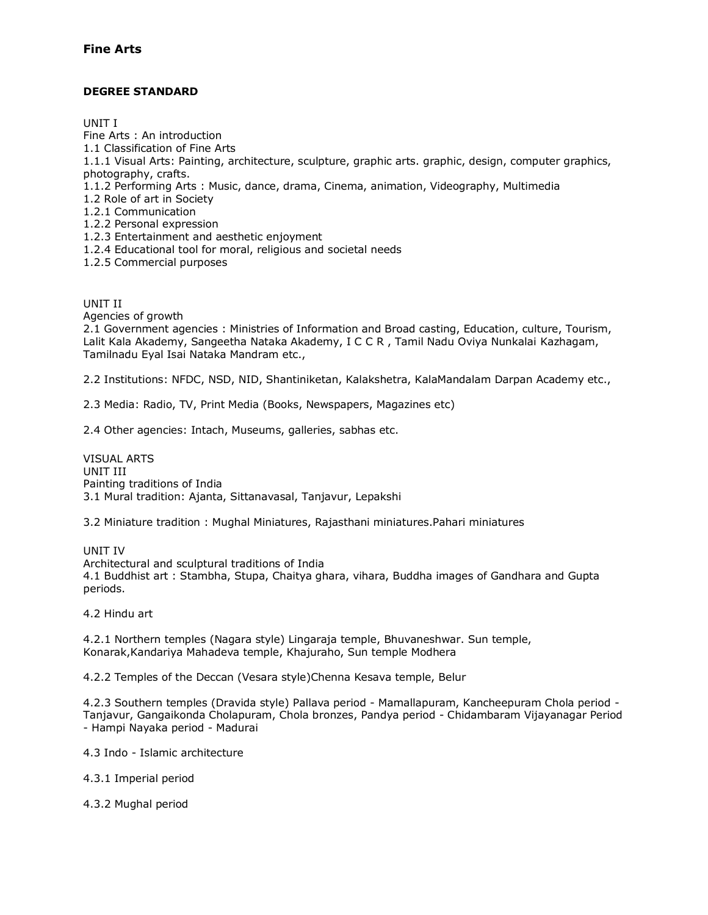## **Fine Arts**

## **DEGREE STANDARD**

UNIT I

Fine Arts : An introduction

1.1 Classification of Fine Arts

1.1.1 Visual Arts: Painting, architecture, sculpture, graphic arts. graphic, design, computer graphics, photography, crafts.

1.1.2 Performing Arts : Music, dance, drama, Cinema, animation, Videography, Multimedia

1.2 Role of art in Society

- 1.2.1 Communication
- 1.2.2 Personal expression
- 1.2.3 Entertainment and aesthetic enjoyment
- 1.2.4 Educational tool for moral, religious and societal needs
- 1.2.5 Commercial purposes

UNIT II

Agencies of growth

2.1 Government agencies : Ministries of Information and Broad casting, Education, culture, Tourism, Lalit Kala Akademy, Sangeetha Nataka Akademy, I C C R , Tamil Nadu Oviya Nunkalai Kazhagam, Tamilnadu Eyal Isai Nataka Mandram etc.,

2.2 Institutions: NFDC, NSD, NID, Shantiniketan, Kalakshetra, KalaMandalam Darpan Academy etc.,

2.3 Media: Radio, TV, Print Media (Books, Newspapers, Magazines etc)

2.4 Other agencies: Intach, Museums, galleries, sabhas etc.

VISUAL ARTS UNIT III Painting traditions of India 3.1 Mural tradition: Ajanta, Sittanavasal, Tanjavur, Lepakshi

3.2 Miniature tradition : Mughal Miniatures, Rajasthani miniatures.Pahari miniatures

UNIT IV Architectural and sculptural traditions of India 4.1 Buddhist art : Stambha, Stupa, Chaitya ghara, vihara, Buddha images of Gandhara and Gupta periods.

4.2 Hindu art

4.2.1 Northern temples (Nagara style) Lingaraja temple, Bhuvaneshwar. Sun temple, Konarak,Kandariya Mahadeva temple, Khajuraho, Sun temple Modhera

4.2.2 Temples of the Deccan (Vesara style)Chenna Kesava temple, Belur

4.2.3 Southern temples (Dravida style) Pallava period - Mamallapuram, Kancheepuram Chola period - Tanjavur, Gangaikonda Cholapuram, Chola bronzes, Pandya period - Chidambaram Vijayanagar Period - Hampi Nayaka period - Madurai

4.3 Indo - Islamic architecture

4.3.1 Imperial period

4.3.2 Mughal period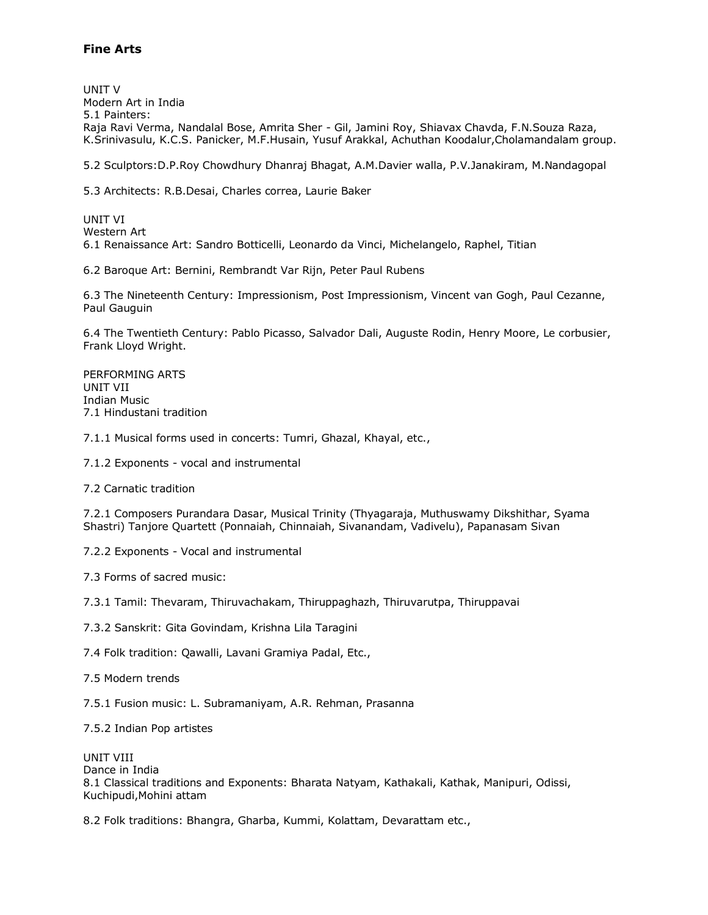## **Fine Arts**

UNIT V Modern Art in India 5.1 Painters: Raja Ravi Verma, Nandalal Bose, Amrita Sher - Gil, Jamini Roy, Shiavax Chavda, F.N.Souza Raza, K.Srinivasulu, K.C.S. Panicker, M.F.Husain, Yusuf Arakkal, Achuthan Koodalur,Cholamandalam group.

5.2 Sculptors:D.P.Roy Chowdhury Dhanraj Bhagat, A.M.Davier walla, P.V.Janakiram, M.Nandagopal

5.3 Architects: R.B.Desai, Charles correa, Laurie Baker

UNIT VI Western Art 6.1 Renaissance Art: Sandro Botticelli, Leonardo da Vinci, Michelangelo, Raphel, Titian

6.2 Baroque Art: Bernini, Rembrandt Var Rijn, Peter Paul Rubens

6.3 The Nineteenth Century: Impressionism, Post Impressionism, Vincent van Gogh, Paul Cezanne, Paul Gauguin

6.4 The Twentieth Century: Pablo Picasso, Salvador Dali, Auguste Rodin, Henry Moore, Le corbusier, Frank Lloyd Wright.

PERFORMING ARTS UNIT VII Indian Music 7.1 Hindustani tradition

7.1.1 Musical forms used in concerts: Tumri, Ghazal, Khayal, etc.,

7.1.2 Exponents - vocal and instrumental

7.2 Carnatic tradition

7.2.1 Composers Purandara Dasar, Musical Trinity (Thyagaraja, Muthuswamy Dikshithar, Syama Shastri) Tanjore Quartett (Ponnaiah, Chinnaiah, Sivanandam, Vadivelu), Papanasam Sivan

7.2.2 Exponents - Vocal and instrumental

7.3 Forms of sacred music:

7.3.1 Tamil: Thevaram, Thiruvachakam, Thiruppaghazh, Thiruvarutpa, Thiruppavai

7.3.2 Sanskrit: Gita Govindam, Krishna Lila Taragini

7.4 Folk tradition: Qawalli, Lavani Gramiya Padal, Etc.,

7.5 Modern trends

7.5.1 Fusion music: L. Subramaniyam, A.R. Rehman, Prasanna

7.5.2 Indian Pop artistes

UNIT VIII Dance in India 8.1 Classical traditions and Exponents: Bharata Natyam, Kathakali, Kathak, Manipuri, Odissi, Kuchipudi,Mohini attam

8.2 Folk traditions: Bhangra, Gharba, Kummi, Kolattam, Devarattam etc.,